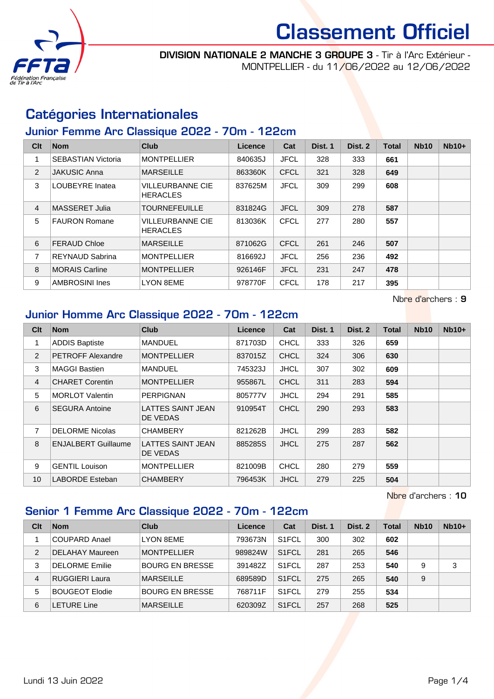

DIVISION NATIONALE 2 MANCHE 3 GROUPE 3 - Tir à l'Arc Extérieur - MONTPELLIER - du 11/06/2022 au 12/06/2022

## Catégories Internationales

### Junior Femme Arc Classique 2022 - 70m - 122cm

| Clt            | <b>Nom</b>                | <b>Club</b>                                | Licence | Cat         | Dist. 1 | Dist. 2 | <b>Total</b> | <b>Nb10</b> | $Nb10+$ |
|----------------|---------------------------|--------------------------------------------|---------|-------------|---------|---------|--------------|-------------|---------|
|                | <b>SEBASTIAN Victoria</b> | <b>MONTPELLIER</b>                         | 840635J | <b>JFCL</b> | 328     | 333     | 661          |             |         |
| 2              | <b>JAKUSIC Anna</b>       | <b>MARSEILLE</b>                           | 863360K | <b>CFCL</b> | 321     | 328     | 649          |             |         |
| 3              | LOUBEYRE Inatea           | <b>VILLEURBANNE CIE</b><br><b>HERACLES</b> | 837625M | <b>JFCL</b> | 309     | 299     | 608          |             |         |
| $\overline{4}$ | MASSERET Julia            | <b>TOURNEFEUILLE</b>                       | 831824G | <b>JFCL</b> | 309     | 278     | 587          |             |         |
| 5              | <b>FAURON Romane</b>      | <b>VILLEURBANNE CIE</b><br><b>HERACLES</b> | 813036K | <b>CFCL</b> | 277     | 280     | 557          |             |         |
| 6              | <b>FERAUD Chloe</b>       | <b>MARSEILLE</b>                           | 871062G | <b>CFCL</b> | 261     | 246     | 507          |             |         |
| 7              | REYNAUD Sabrina           | <b>MONTPELLIER</b>                         | 816692J | <b>JFCL</b> | 256     | 236     | 492          |             |         |
| 8              | <b>MORAIS Carline</b>     | <b>MONTPELLIER</b>                         | 926146F | <b>JFCL</b> | 231     | 247     | 478          |             |         |
| 9              | <b>AMBROSINI Ines</b>     | <b>LYON 8EME</b>                           | 978770F | <b>CFCL</b> | 178     | 217     | 395          |             |         |

Nbre d'archers : 9

Nbre d'archers : 10

## Junior Homme Arc Classique 2022 - 70m - 122cm

| Clt            | <b>Nom</b>                 | <b>Club</b>                   | Licence | Cat         | Dist. 1 | Dist. 2 | <b>Total</b> | <b>Nb10</b> | $Nb10+$ |
|----------------|----------------------------|-------------------------------|---------|-------------|---------|---------|--------------|-------------|---------|
|                | <b>ADDIS Baptiste</b>      | <b>MANDUEL</b>                | 871703D | <b>CHCL</b> | 333     | 326     | 659          |             |         |
| 2              | <b>PETROFF Alexandre</b>   | <b>MONTPELLIER</b>            | 837015Z | <b>CHCL</b> | 324     | 306     | 630          |             |         |
| 3              | <b>MAGGI Bastien</b>       | <b>MANDUEL</b>                | 745323J | <b>JHCL</b> | 307     | 302     | 609          |             |         |
| $\overline{4}$ | <b>CHARET Corentin</b>     | <b>MONTPELLIER</b>            | 955867L | <b>CHCL</b> | 311     | 283     | 594          |             |         |
| 5              | <b>MORLOT Valentin</b>     | <b>PERPIGNAN</b>              | 805777V | <b>JHCL</b> | 294     | 291     | 585          |             |         |
| 6              | <b>SEGURA Antoine</b>      | LATTES SAINT JEAN<br>DE VEDAS | 910954T | <b>CHCL</b> | 290     | 293     | 583          |             |         |
| 7              | <b>DELORME Nicolas</b>     | <b>CHAMBERY</b>               | 821262B | <b>JHCL</b> | 299     | 283     | 582          |             |         |
| 8              | <b>ENJALBERT Guillaume</b> | LATTES SAINT JEAN<br>DE VEDAS | 885285S | <b>JHCL</b> | 275     | 287     | 562          |             |         |
| 9              | <b>GENTIL Louison</b>      | <b>MONTPELLIER</b>            | 821009B | <b>CHCL</b> | 280     | 279     | 559          |             |         |
| 10             | LABORDE Esteban            | <b>CHAMBERY</b>               | 796453K | <b>JHCL</b> | 279     | 225     | 504          |             |         |

## Senior 1 Femme Arc Classique 2022 - 70m - 122cm

**Clt Nom Club Licence Cat Dist. 1 Dist. 2 Total Nb10 Nb10+** COUPARD Anael LYON 8EME 793673N S1FCL 300 302 **602** DELAHAY Maureen MONTPELLIER 989824W S1FCL 281 265 **546** DELORME Emilie BOURG EN BRESSE 391482Z S1FCL 287 253 **540** 9 3 RUGGIERI Laura MARSEILLE 689589D S1FCL 275 265 **540** 9 BOUGEOT Elodie BOURG EN BRESSE 768711F S1FCL 279 255 **534** LETURE Line MARSEILLE 620309Z S1FCL 257 268 **525**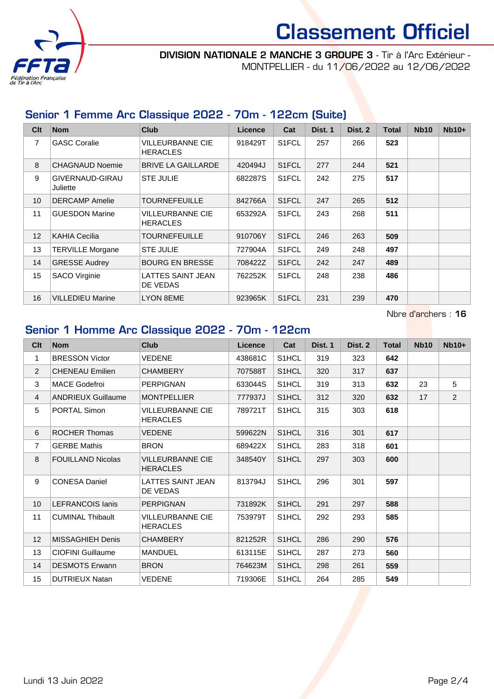

DIVISION NATIONALE 2 MANCHE 3 GROUPE 3 - Tir à l'Arc Extérieur - MONTPELLIER - du 11/06/2022 au 12/06/2022

## Senior 1 Femme Arc Classique 2022 - 70m - 122cm (Suite)

| Clt             | <b>Nom</b>                  | <b>Club</b>                                | <b>Licence</b> | Cat                | Dist. 1 | Dist. 2 | <b>Total</b> | <b>Nb10</b> | $Nb10+$ |
|-----------------|-----------------------------|--------------------------------------------|----------------|--------------------|---------|---------|--------------|-------------|---------|
| 7               | <b>GASC Coralie</b>         | VILLEURBANNE CIE<br><b>HERACLES</b>        | 918429T        | S <sub>1</sub> FCL | 257     | 266     | 523          |             |         |
| 8               | <b>CHAGNAUD Noemie</b>      | <b>BRIVE LA GAILLARDE</b>                  | 420494J        | S <sub>1</sub> FCL | 277     | 244     | 521          |             |         |
| 9               | GIVERNAUD-GIRAU<br>Juliette | <b>STE JULIE</b>                           | 682287S        | S <sub>1</sub> FCL | 242     | 275     | 517          |             |         |
| 10 <sup>1</sup> | <b>DERCAMP</b> Amelie       | <b>TOURNEFEUILLE</b>                       | 842766A        | S <sub>1</sub> FCL | 247     | 265     | 512          |             |         |
| 11              | <b>GUESDON Marine</b>       | <b>VILLEURBANNE CIE</b><br><b>HERACLES</b> | 653292A        | S <sub>1</sub> FCL | 243     | 268     | 511          |             |         |
| 12              | <b>KAHIA Cecilia</b>        | <b>TOURNEFEUILLE</b>                       | 910706Y        | S <sub>1</sub> FCL | 246     | 263     | 509          |             |         |
| 13              | <b>TERVILLE Morgane</b>     | <b>STE JULIE</b>                           | 727904A        | S <sub>1</sub> FCL | 249     | 248     | 497          |             |         |
| 14              | <b>GRESSE Audrey</b>        | <b>BOURG EN BRESSE</b>                     | 708422Z        | S <sub>1</sub> FCL | 242     | 247     | 489          |             |         |
| 15              | <b>SACO Virginie</b>        | <b>LATTES SAINT JEAN</b><br>DE VEDAS       | 762252K        | S <sub>1</sub> FCL | 248     | 238     | 486          |             |         |
| 16              | <b>VILLEDIEU Marine</b>     | <b>LYON 8EME</b>                           | 923965K        | S <sub>1</sub> FCL | 231     | 239     | 470          |             |         |

Nbre d'archers : 16

## Senior 1 Homme Arc Classique 2022 - 70m - 122cm

| Clt            | <b>Nom</b>                | Club                                       | Licence | Cat                | Dist. 1 | Dist. 2 | <b>Total</b> | <b>Nb10</b> | $Nb10+$ |
|----------------|---------------------------|--------------------------------------------|---------|--------------------|---------|---------|--------------|-------------|---------|
| 1              | <b>BRESSON Victor</b>     | <b>VEDENE</b>                              | 438681C | S1HCL              | 319     | 323     | 642          |             |         |
| 2              | <b>CHENEAU Emilien</b>    | <b>CHAMBERY</b>                            | 707588T | S1HCL              | 320     | 317     | 637          |             |         |
| 3              | <b>MACE Godefroi</b>      | <b>PERPIGNAN</b>                           | 633044S | S1HCL              | 319     | 313     | 632          | 23          | 5       |
| $\overline{4}$ | <b>ANDRIEUX Guillaume</b> | <b>MONTPELLIER</b>                         | 777937J | S1HCL              | 312     | 320     | 632          | 17          | 2       |
| 5              | <b>PORTAL Simon</b>       | <b>VILLEURBANNE CIE</b><br><b>HERACLES</b> | 789721T | S <sub>1</sub> HCL | 315     | 303     | 618          |             |         |
| 6              | <b>ROCHER Thomas</b>      | <b>VEDENE</b>                              | 599622N | S <sub>1</sub> HCL | 316     | 301     | 617          |             |         |
| $\overline{7}$ | <b>GERBE Mathis</b>       | <b>BRON</b>                                | 689422X | S1HCL              | 283     | 318     | 601          |             |         |
| 8              | <b>FOUILLAND Nicolas</b>  | VILLEURBANNE CIE<br><b>HERACLES</b>        | 348540Y | S <sub>1</sub> HCL | 297     | 303     | 600          |             |         |
| 9              | <b>CONESA Daniel</b>      | <b>LATTES SAINT JEAN</b><br>DE VEDAS       | 813794J | S <sub>1</sub> HCL | 296     | 301     | 597          |             |         |
| 10             | <b>LEFRANCOIS lanis</b>   | <b>PERPIGNAN</b>                           | 731892K | S1HCL              | 291     | 297     | 588          |             |         |
| 11             | <b>CUMINAL Thibault</b>   | <b>VILLEURBANNE CIE</b><br><b>HERACLES</b> | 753979T | S1HCL              | 292     | 293     | 585          |             |         |
| 12             | MISSAGHIEH Denis          | <b>CHAMBERY</b>                            | 821252R | S <sub>1</sub> HCL | 286     | 290     | 576          |             |         |
| 13             | CIOFINI Guillaume         | <b>MANDUEL</b>                             | 613115E | S <sub>1</sub> HCL | 287     | 273     | 560          |             |         |
| 14             | <b>DESMOTS Erwann</b>     | <b>BRON</b>                                | 764623M | S <sub>1</sub> HCL | 298     | 261     | 559          |             |         |
| 15             | <b>DUTRIEUX Natan</b>     | VEDENE                                     | 719306E | S <sub>1</sub> HCL | 264     | 285     | 549          |             |         |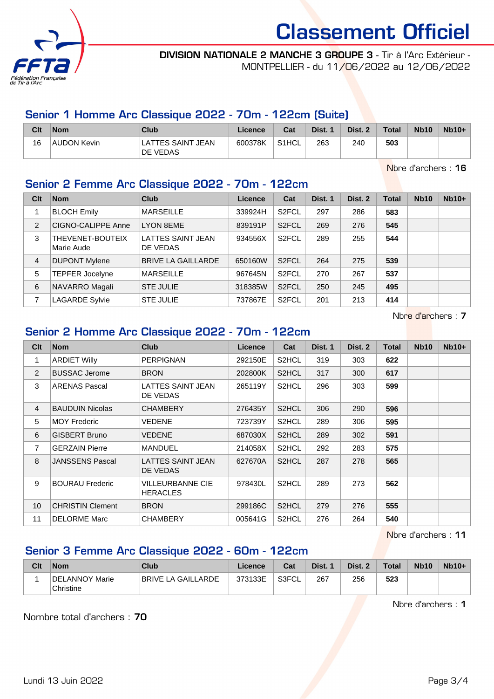

#### DIVISION NATIONALE 2 MANCHE 3 GROUPE 3 - Tir à l'Arc Extérieur - MONTPELLIER - du 11/06/2022 au 12/06/2022

## Senior 1 Homme Arc Classique 2022 - 70m - 122cm (Suite)

| Clt | <b>Nom</b>         | Club                          | Licence | Cat                | Dist. | Dist. 2 | <b>Total</b> | <b>Nb10</b> | $Nb10+$ |
|-----|--------------------|-------------------------------|---------|--------------------|-------|---------|--------------|-------------|---------|
| 16  | <b>AUDON Kevin</b> | LATTES SAINT JEAN<br>DE VEDAS | 600378K | S <sub>1</sub> HCL | 263   | 240     | 503          |             |         |

Nbre d'archers : 16

## Senior 2 Femme Arc Classique 2022 - 70m - 122cm

| Clt            | <b>Nom</b>                     | Club                                 | Licence | Cat                | Dist. 1 | Dist. 2 | <b>Total</b> | <b>Nb10</b> | $Nb10+$ |
|----------------|--------------------------------|--------------------------------------|---------|--------------------|---------|---------|--------------|-------------|---------|
|                | <b>BLOCH Emily</b>             | <b>MARSEILLE</b>                     | 339924H | S <sub>2</sub> FCL | 297     | 286     | 583          |             |         |
| 2              | CIGNO-CALIPPE Anne             | <b>LYON 8EME</b>                     | 839191P | S <sub>2</sub> FCL | 269     | 276     | 545          |             |         |
| 3              | THEVENET-BOUTEIX<br>Marie Aude | <b>LATTES SAINT JEAN</b><br>DE VEDAS | 934556X | S <sub>2</sub> FCL | 289     | 255     | 544          |             |         |
| $\overline{4}$ | <b>DUPONT Mylene</b>           | <b>BRIVE LA GAILLARDE</b>            | 650160W | S <sub>2</sub> FCL | 264     | 275     | 539          |             |         |
| 5              | <b>TEPFER Jocelyne</b>         | <b>MARSEILLE</b>                     | 967645N | S <sub>2</sub> FCL | 270     | 267     | 537          |             |         |
| 6              | NAVARRO Magali                 | <b>STE JULIE</b>                     | 318385W | S <sub>2</sub> FCL | 250     | 245     | 495          |             |         |
| 7              | <b>LAGARDE Sylvie</b>          | <b>STE JULIE</b>                     | 737867E | S <sub>2</sub> FCL | 201     | 213     | 414          |             |         |

Nbre d'archers : 7

### Senior 2 Homme Arc Classique 2022 - 70m - 122cm

| Cl <sub>t</sub> | <b>Nom</b>              | <b>Club</b>                         | <b>Licence</b> | Cat                | Dist. 1 | Dist. 2 | Total | <b>Nb10</b> | $Nb10+$ |
|-----------------|-------------------------|-------------------------------------|----------------|--------------------|---------|---------|-------|-------------|---------|
| 1               | <b>ARDIET Willy</b>     | <b>PERPIGNAN</b>                    | 292150E        | S <sub>2</sub> HCL | 319     | 303     | 622   |             |         |
| 2               | <b>BUSSAC Jerome</b>    | <b>BRON</b>                         | 202800K        | S2HCL              | 317     | 300     | 617   |             |         |
| 3               | <b>ARENAS Pascal</b>    | LATTES SAINT JEAN<br>DE VEDAS       | 265119Y        | S2HCL              | 296     | 303     | 599   |             |         |
| $\overline{4}$  | <b>BAUDUIN Nicolas</b>  | <b>CHAMBERY</b>                     | 276435Y        | S2HCL              | 306     | 290     | 596   |             |         |
| 5               | <b>MOY Frederic</b>     | VEDENE                              | 723739Y        | S2HCL              | 289     | 306     | 595   |             |         |
| 6               | <b>GISBERT Bruno</b>    | VEDENE                              | 687030X        | S <sub>2</sub> HCL | 289     | 302     | 591   |             |         |
| 7               | <b>GERZAIN Pierre</b>   | <b>MANDUEL</b>                      | 214058X        | S2HCL              | 292     | 283     | 575   |             |         |
| 8               | <b>JANSSENS Pascal</b>  | LATTES SAINT JEAN<br>DE VEDAS       | 627670A        | S2HCL              | 287     | 278     | 565   |             |         |
| 9               | <b>BOURAU Frederic</b>  | VILLEURBANNE CIE<br><b>HERACLES</b> | 978430L        | S2HCL              | 289     | 273     | 562   |             |         |
| 10              | <b>CHRISTIN Clement</b> | <b>BRON</b>                         | 299186C        | S <sub>2</sub> HCL | 279     | 276     | 555   |             |         |
| 11              | <b>DELORME Marc</b>     | <b>CHAMBERY</b>                     | 005641G        | S2HCL              | 276     | 264     | 540   |             |         |

Nbre d'archers : 11

### Senior 3 Femme Arc Classique 2022 - 60m - 122cm

| Clt | <b>Nom</b>                  | Club               | Licence | Cat   | Dist. 1 | Dist. 2 | <b>Total</b> | <b>Nb10</b> | $Nb10+$ |
|-----|-----------------------------|--------------------|---------|-------|---------|---------|--------------|-------------|---------|
|     | DELANNOY Marie<br>Christine | BRIVE LA GAILLARDE | 373133E | S3FCL | 267     | 256     | 523          |             |         |

Nbre d'archers : 1

Nombre total d'archers : 70